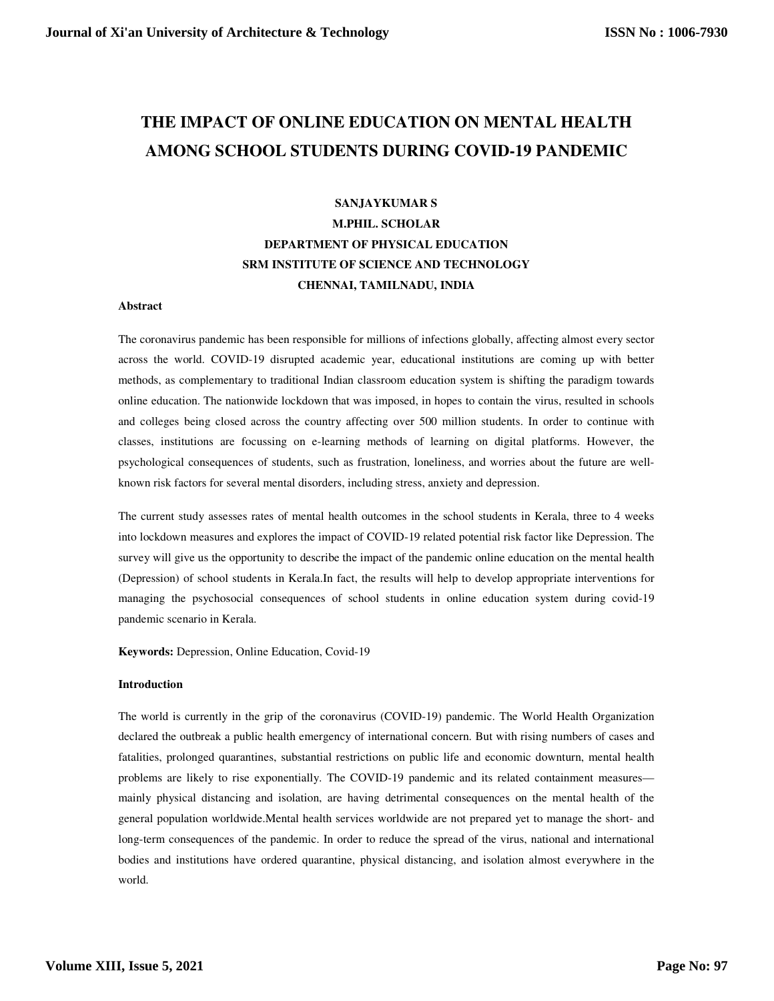# **THE IMPACT OF ONLINE EDUCATION ON MENTAL HEALTH AMONG SCHOOL STUDENTS DURING COVID-19 PANDEMIC**

## **SANJAYKUMAR S M.PHIL. SCHOLAR DEPARTMENT OF PHYSICAL EDUCATION SRM INSTITUTE OF SCIENCE AND TECHNOLOGY CHENNAI, TAMILNADU, INDIA**

#### **Abstract**

The coronavirus pandemic has been responsible for millions of infections globally, affecting almost every sector across the world. COVID-19 disrupted academic year, educational institutions are coming up with better methods, as complementary to traditional Indian classroom education system is shifting the paradigm towards online education. The nationwide lockdown that was imposed, in hopes to contain the virus, resulted in schools and colleges being closed across the country affecting over 500 million students. In order to continue with classes, institutions are focussing on e-learning methods of learning on digital platforms. However, the psychological consequences of students, such as frustration, loneliness, and worries about the future are wellknown risk factors for several mental disorders, including stress, anxiety and depression.

The current study assesses rates of mental health outcomes in the school students in Kerala, three to 4 weeks into lockdown measures and explores the impact of COVID-19 related potential risk factor like Depression. The survey will give us the opportunity to describe the impact of the pandemic online education on the mental health (Depression) of school students in Kerala.In fact, the results will help to develop appropriate interventions for managing the psychosocial consequences of school students in online education system during covid-19 pandemic scenario in Kerala.

**Keywords:** Depression, Online Education, Covid-19

#### **Introduction**

The world is currently in the grip of the coronavirus (COVID-19) pandemic. The World Health Organization declared the outbreak a public health emergency of international concern. But with rising numbers of cases and fatalities, prolonged quarantines, substantial restrictions on public life and economic downturn, mental health problems are likely to rise exponentially. The COVID-19 pandemic and its related containment measures mainly physical distancing and isolation, are having detrimental consequences on the mental health of the general population worldwide.Mental health services worldwide are not prepared yet to manage the short- and long-term consequences of the pandemic. In order to reduce the spread of the virus, national and international bodies and institutions have ordered quarantine, physical distancing, and isolation almost everywhere in the world.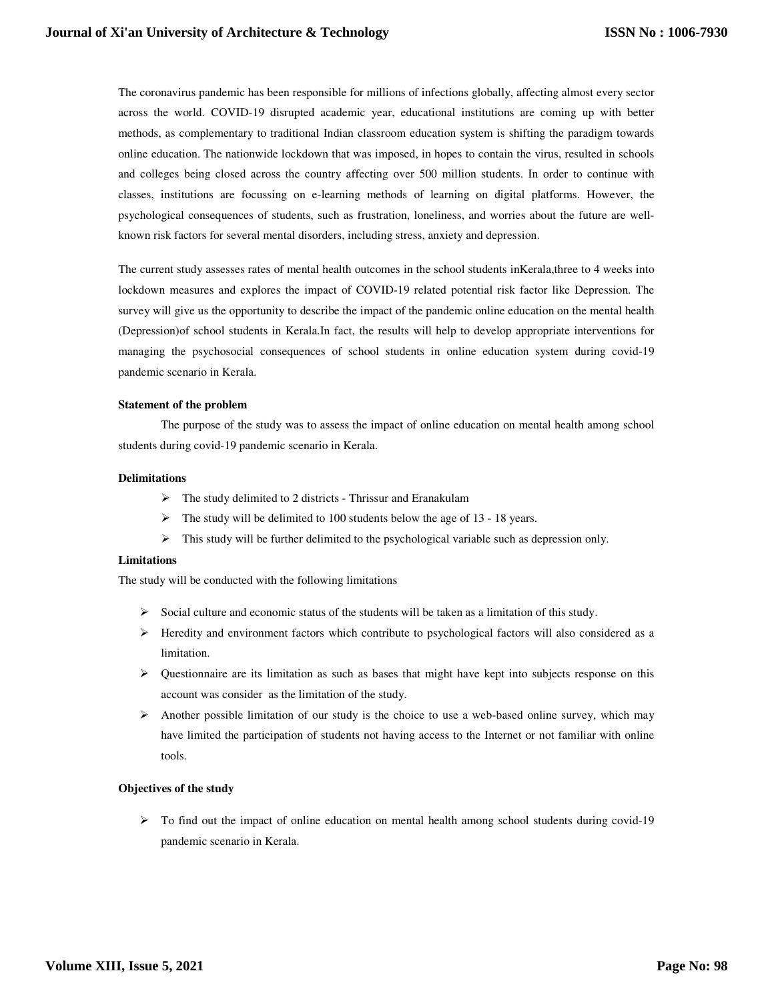The coronavirus pandemic has been responsible for millions of infections globally, affecting almost every sector across the world. COVID-19 disrupted academic year, educational institutions are coming up with better methods, as complementary to traditional Indian classroom education system is shifting the paradigm towards online education. The nationwide lockdown that was imposed, in hopes to contain the virus, resulted in schools and colleges being closed across the country affecting over 500 million students. In order to continue with classes, institutions are focussing on e-learning methods of learning on digital platforms. However, the psychological consequences of students, such as frustration, loneliness, and worries about the future are wellknown risk factors for several mental disorders, including stress, anxiety and depression.

The current study assesses rates of mental health outcomes in the school students inKerala,three to 4 weeks into lockdown measures and explores the impact of COVID-19 related potential risk factor like Depression. The survey will give us the opportunity to describe the impact of the pandemic online education on the mental health (Depression)of school students in Kerala.In fact, the results will help to develop appropriate interventions for managing the psychosocial consequences of school students in online education system during covid-19 pandemic scenario in Kerala.

#### **Statement of the problem**

The purpose of the study was to assess the impact of online education on mental health among school students during covid-19 pandemic scenario in Kerala.

#### **Delimitations**

- $\triangleright$  The study delimited to 2 districts Thrissur and Eranakulam
- $\triangleright$  The study will be delimited to 100 students below the age of 13 18 years.
- $\triangleright$  This study will be further delimited to the psychological variable such as depression only.

#### **Limitations**

The study will be conducted with the following limitations

- $\triangleright$  Social culture and economic status of the students will be taken as a limitation of this study.
- $\triangleright$  Heredity and environment factors which contribute to psychological factors will also considered as a limitation.
- $\triangleright$  Questionnaire are its limitation as such as bases that might have kept into subjects response on this account was consider as the limitation of the study.
- $\triangleright$  Another possible limitation of our study is the choice to use a web-based online survey, which may have limited the participation of students not having access to the Internet or not familiar with online tools.

#### **Objectives of the study**

 $\triangleright$  To find out the impact of online education on mental health among school students during covid-19 pandemic scenario in Kerala.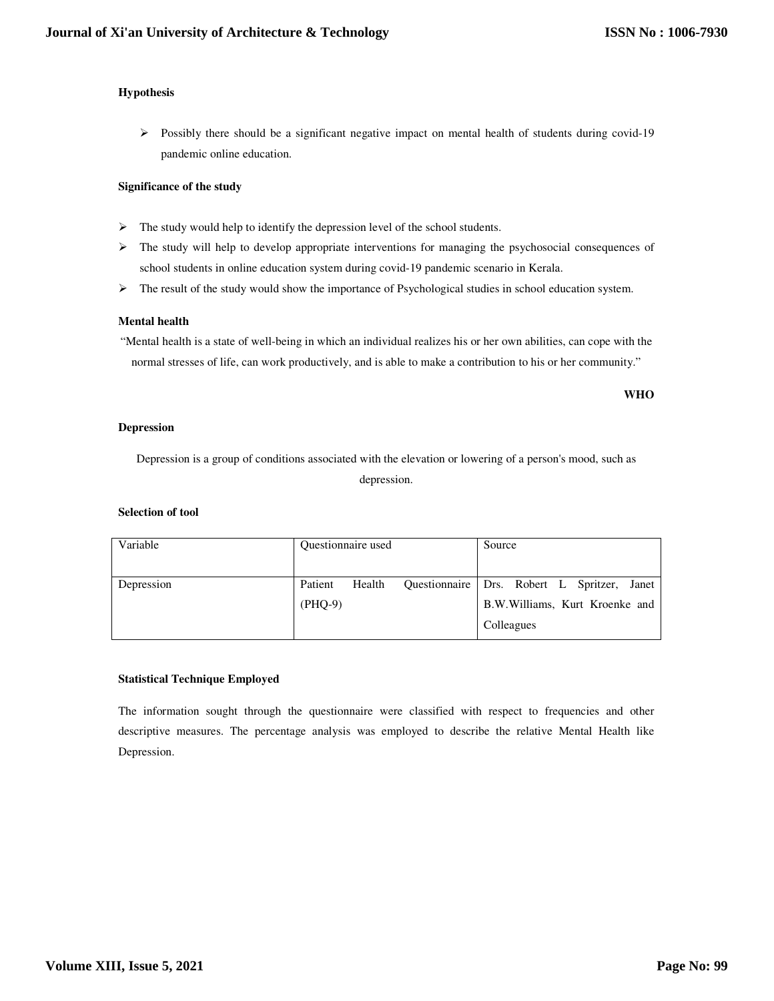#### **Hypothesis**

 $\triangleright$  Possibly there should be a significant negative impact on mental health of students during covid-19 pandemic online education.

#### **Significance of the study**

- $\triangleright$  The study would help to identify the depression level of the school students.
- $\triangleright$  The study will help to develop appropriate interventions for managing the psychosocial consequences of school students in online education system during covid-19 pandemic scenario in Kerala.
- $\triangleright$  The result of the study would show the importance of Psychological studies in school education system.

#### **Mental health**

"Mental health is a state of well-being in which an individual realizes his or her own abilities, can cope with the normal stresses of life, can work productively, and is able to make a contribution to his or her community."

**WHO** 

#### **Depression**

Depression is a group of conditions associated with the elevation or lowering of a person's mood, such as depression.

#### **Selection of tool**

| Variable   | Questionnaire used   |        |               | Source                                                                            |
|------------|----------------------|--------|---------------|-----------------------------------------------------------------------------------|
| Depression | Patient<br>$(PHQ-9)$ | Health | Questionnaire | Drs. Robert L Spritzer,<br>Janet<br>B.W. Williams, Kurt Kroenke and<br>Colleagues |

#### **Statistical Technique Employed**

The information sought through the questionnaire were classified with respect to frequencies and other descriptive measures. The percentage analysis was employed to describe the relative Mental Health like Depression.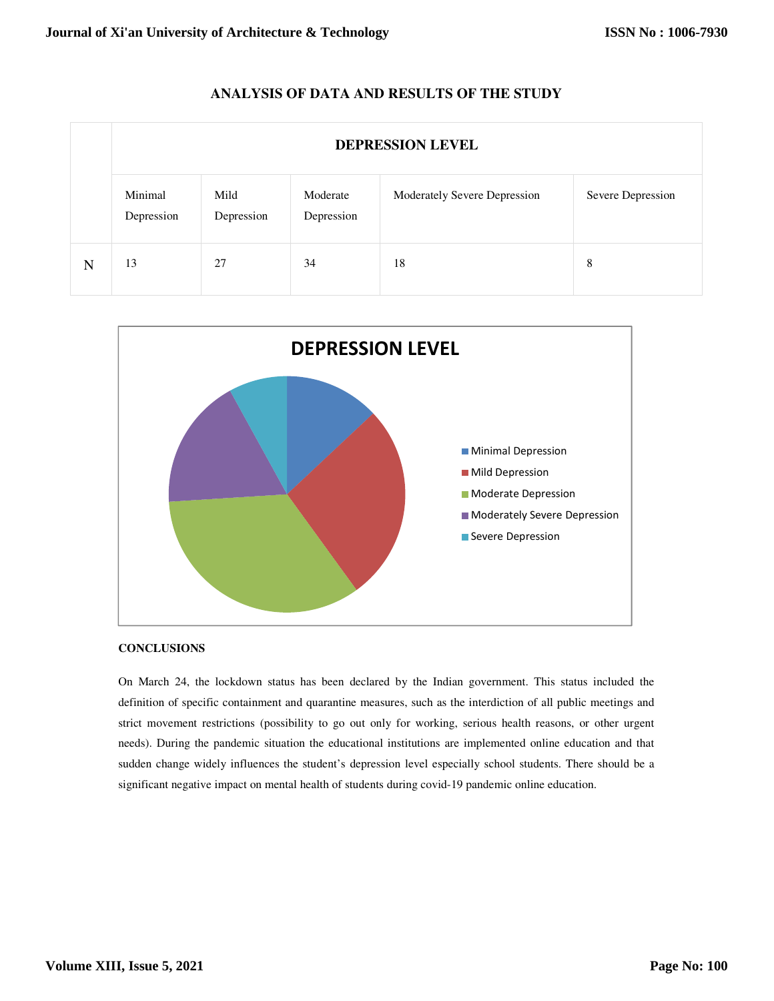### **ANALYSIS OF DATA AND RESULTS OF THE STUDY**

|   | <b>DEPRESSION LEVEL</b> |                    |                        |                              |                   |  |  |  |  |
|---|-------------------------|--------------------|------------------------|------------------------------|-------------------|--|--|--|--|
|   | Minimal<br>Depression   | Mild<br>Depression | Moderate<br>Depression | Moderately Severe Depression | Severe Depression |  |  |  |  |
| N | 13                      | 27                 | 34                     | 18                           | 8                 |  |  |  |  |



#### **CONCLUSIONS**

On March 24, the lockdown status has been declared by the Indian government. This status included the definition of specific containment and quarantine measures, such as the interdiction of all public meetings and strict movement restrictions (possibility to go out only for working, serious health reasons, or other urgent needs). During the pandemic situation the educational institutions are implemented online education and that sudden change widely influences the student's depression level especially school students. There should be a significant negative impact on mental health of students during covid-19 pandemic online education.